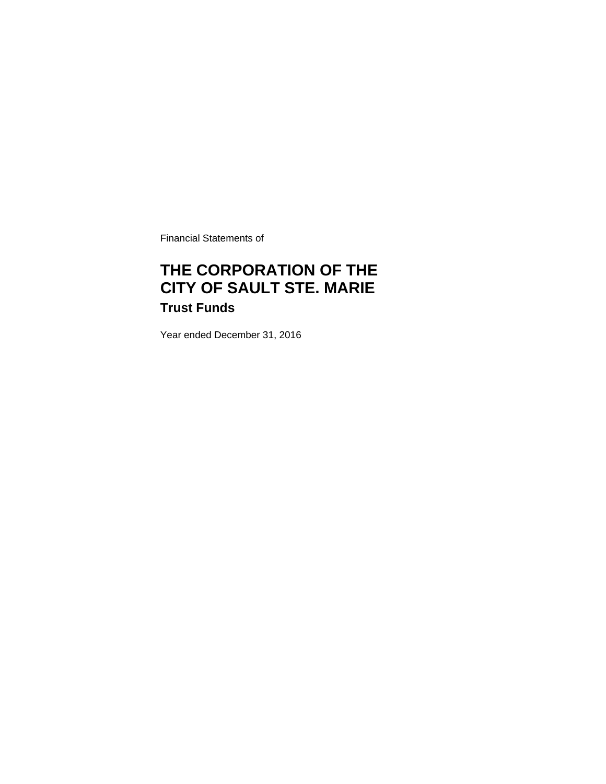Financial Statements of

# **THE CORPORATION OF THE CITY OF SAULT STE. MARIE Trust Funds**

Year ended December 31, 2016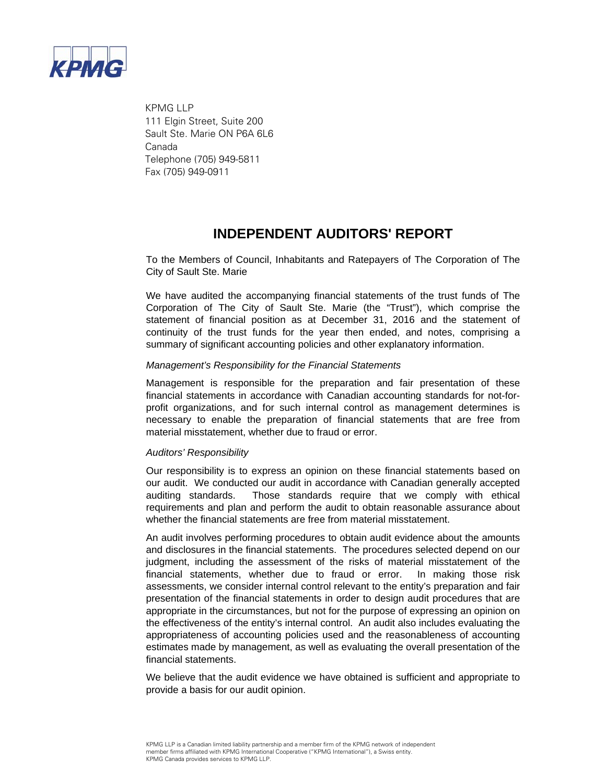

 KPMG LLP 111 Elgin Street, Suite 200 Sault Ste. Marie ON P6A 6L6 Canada Telephone (705) 949-5811 Fax (705) 949-0911

### **INDEPENDENT AUDITORS' REPORT**

To the Members of Council, Inhabitants and Ratepayers of The Corporation of The City of Sault Ste. Marie

We have audited the accompanying financial statements of the trust funds of The Corporation of The City of Sault Ste. Marie (the "Trust"), which comprise the statement of financial position as at December 31, 2016 and the statement of continuity of the trust funds for the year then ended, and notes, comprising a summary of significant accounting policies and other explanatory information.

### *Management's Responsibility for the Financial Statements*

Management is responsible for the preparation and fair presentation of these financial statements in accordance with Canadian accounting standards for not-forprofit organizations, and for such internal control as management determines is necessary to enable the preparation of financial statements that are free from material misstatement, whether due to fraud or error.

#### *Auditors' Responsibility*

Our responsibility is to express an opinion on these financial statements based on our audit. We conducted our audit in accordance with Canadian generally accepted auditing standards. Those standards require that we comply with ethical requirements and plan and perform the audit to obtain reasonable assurance about whether the financial statements are free from material misstatement.

An audit involves performing procedures to obtain audit evidence about the amounts and disclosures in the financial statements. The procedures selected depend on our judgment, including the assessment of the risks of material misstatement of the financial statements, whether due to fraud or error. In making those risk assessments, we consider internal control relevant to the entity's preparation and fair presentation of the financial statements in order to design audit procedures that are appropriate in the circumstances, but not for the purpose of expressing an opinion on the effectiveness of the entity's internal control.An audit also includes evaluating the appropriateness of accounting policies used and the reasonableness of accounting estimates made by management, as well as evaluating the overall presentation of the financial statements.

We believe that the audit evidence we have obtained is sufficient and appropriate to provide a basis for our audit opinion.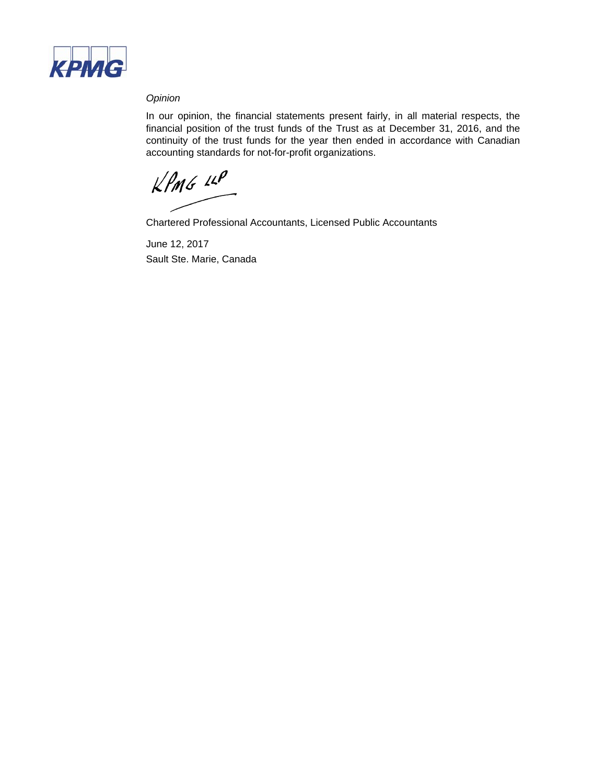

### *Opinion*

In our opinion, the financial statements present fairly, in all material respects, the financial position of the trust funds of the Trust as at December 31, 2016, and the continuity of the trust funds for the year then ended in accordance with Canadian accounting standards for not-for-profit organizations.

 $KPMG$  14P

Chartered Professional Accountants, Licensed Public Accountants

June 12, 2017 Sault Ste. Marie, Canada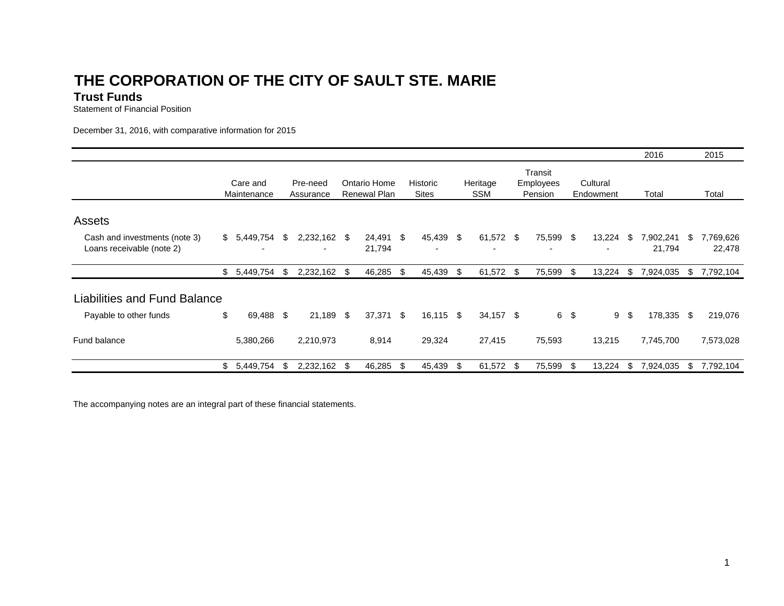# **THE CORPORATION OF THE CITY OF SAULT STE. MARI E**

### **Trust Funds**

Statement of Financial Position

December 31, 2016, with comparative information for 2015

|                                                            |                                         |      |                       |  |                                     |    |                          |    |                        |  |                                        |               |                       |    | 2016                |     | 2015                |
|------------------------------------------------------------|-----------------------------------------|------|-----------------------|--|-------------------------------------|----|--------------------------|----|------------------------|--|----------------------------------------|---------------|-----------------------|----|---------------------|-----|---------------------|
|                                                            | Care and<br>Maintenance                 |      | Pre-need<br>Assurance |  | Ontario Home<br><b>Renewal Plan</b> |    | Historic<br><b>Sites</b> |    | Heritage<br><b>SSM</b> |  | Transit<br><b>Employees</b><br>Pension |               | Cultural<br>Endowment |    | Total               |     | Total               |
| Assets                                                     |                                         |      |                       |  |                                     |    |                          |    |                        |  |                                        |               |                       |    |                     |     |                     |
| Cash and investments (note 3)<br>Loans receivable (note 2) | \$5,449,754<br>$\overline{\phantom{0}}$ | - \$ | 2,232,162 \$<br>۰.    |  | 24,491<br>21,794                    | \$ | 45,439                   | \$ | 61,572 \$<br>۰         |  | 75,599<br>$\overline{\phantom{a}}$     | $\frac{1}{2}$ | 13,224                | \$ | 7,902,241<br>21,794 | \$  | 7,769,626<br>22,478 |
|                                                            | $$5,449,754$ \;                         |      | 2,232,162 \$          |  | 46,285                              | \$ | 45,439                   | \$ | 61,572 \$              |  | 75,599                                 | - S           | 13,224                | \$ | 7,924,035           | S.  | 7,792,104           |
| <b>Liabilities and Fund Balance</b>                        |                                         |      |                       |  |                                     |    |                          |    |                        |  |                                        |               |                       |    |                     |     |                     |
| Payable to other funds                                     | \$<br>69,488 \$                         |      | 21,189 \$             |  | 37,371                              | \$ | 16,115                   | \$ | 34,157 \$              |  |                                        | 6 \$          | 9                     | \$ | 178,335             | -\$ | 219,076             |
| Fund balance                                               | 5,380,266                               |      | 2,210,973             |  | 8,914                               |    | 29,324                   |    | 27,415                 |  | 75,593                                 |               | 13,215                |    | 7,745,700           |     | 7,573,028           |
|                                                            | \$<br>5,449,754                         |      | 2,232,162             |  | 46,285                              | S  | 45,439                   | \$ | 61,572 \$              |  | 75,599                                 |               | 13,224                | \$ | 7,924,035           | \$  | 7,792,104           |

The accompanying notes are an integral part of these financial statements.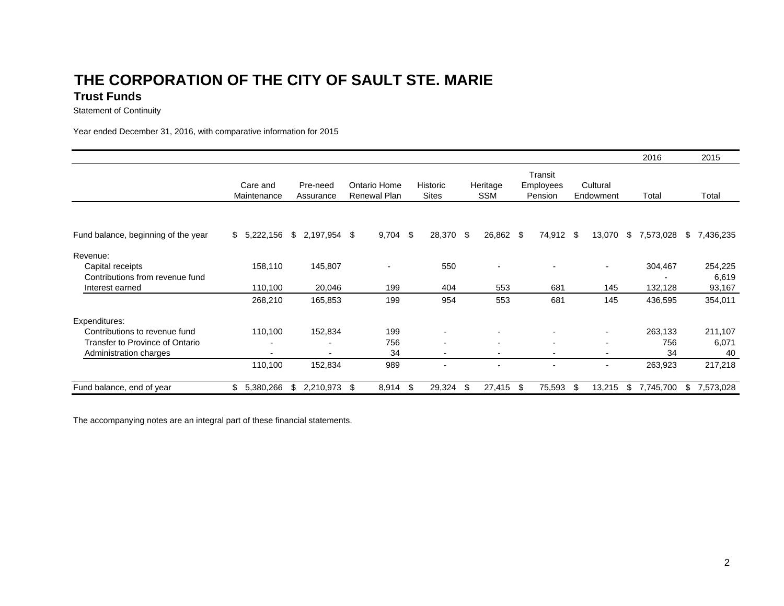### **THE CORPORATION OF THE CITY OF SAULT STE. MARI ETrust Funds**

Statement of Continuity

Year ended December 31, 2016, with comparative information for 2015

|                                     |                         |    |                       |    |                                     |    |                          |    |                          |      |                                        |     |                          |     | 2016      |    | 2015      |  |
|-------------------------------------|-------------------------|----|-----------------------|----|-------------------------------------|----|--------------------------|----|--------------------------|------|----------------------------------------|-----|--------------------------|-----|-----------|----|-----------|--|
|                                     | Care and<br>Maintenance |    | Pre-need<br>Assurance |    | Ontario Home<br><b>Renewal Plan</b> |    | Historic<br><b>Sites</b> |    | Heritage<br><b>SSM</b>   |      | Transit<br><b>Employees</b><br>Pension |     | Cultural<br>Endowment    |     | Total     |    | Total     |  |
|                                     |                         |    |                       |    |                                     |    |                          |    |                          |      |                                        |     |                          |     |           |    |           |  |
| Fund balance, beginning of the year | 5,222,156<br>\$         | \$ | 2,197,954             | \$ | $9,704$ \$                          |    | 28,370                   | \$ | 26,862                   | - \$ | 74,912 \$                              |     | 13,070                   | \$  | 7,573,028 | \$ | 7,436,235 |  |
| Revenue:                            |                         |    |                       |    |                                     |    |                          |    |                          |      |                                        |     |                          |     |           |    |           |  |
| Capital receipts                    | 158,110                 |    | 145,807               |    | $\overline{\phantom{a}}$            |    | 550                      |    | -                        |      |                                        |     | $\blacksquare$           |     | 304,467   |    | 254,225   |  |
| Contributions from revenue fund     |                         |    |                       |    |                                     |    |                          |    |                          |      |                                        |     |                          |     |           |    | 6,619     |  |
| Interest earned                     | 110,100                 |    | 20,046                |    | 199                                 |    | 404                      |    | 553                      |      | 681                                    |     | 145                      |     | 132,128   |    | 93,167    |  |
|                                     | 268,210                 |    | 165,853               |    | 199                                 |    | 954                      |    | 553                      |      | 681                                    |     | 145                      |     | 436,595   |    | 354,011   |  |
| Expenditures:                       |                         |    |                       |    |                                     |    |                          |    |                          |      |                                        |     |                          |     |           |    |           |  |
| Contributions to revenue fund       | 110,100                 |    | 152,834               |    | 199                                 |    |                          |    |                          |      |                                        |     | $\overline{\phantom{0}}$ |     | 263,133   |    | 211,107   |  |
| Transfer to Province of Ontario     |                         |    |                       |    | 756                                 |    |                          |    |                          |      |                                        |     | $\blacksquare$           |     | 756       |    | 6,071     |  |
| Administration charges              |                         |    |                       |    | 34                                  |    |                          |    |                          |      |                                        |     | $\blacksquare$           |     | 34        |    | 40        |  |
|                                     | 110,100                 |    | 152,834               |    | 989                                 |    |                          |    | $\overline{\phantom{0}}$ |      |                                        |     | $\blacksquare$           |     | 263,923   |    | 217,218   |  |
| Fund balance, end of year           | \$<br>5,380,266         | \$ | 2,210,973             | \$ | 8,914                               | \$ | 29,324                   | \$ | 27,415                   | -\$  | 75,593                                 | -\$ | 13,215                   | \$. | 7,745,700 | \$ | 7,573,028 |  |

The accompanying notes are an integral part of these financial statements.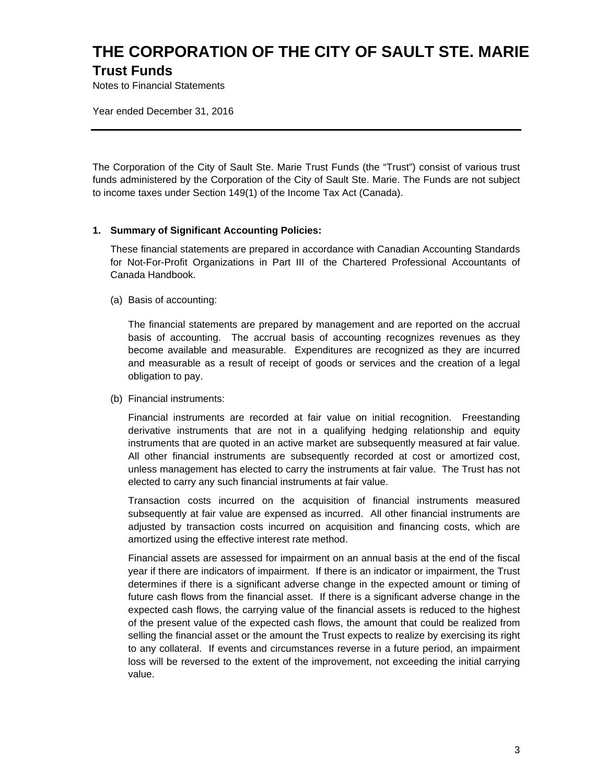# **THE CORPORATION OF THE CITY OF SAULT STE. MARIE Trust Funds**

Notes to Financial Statements

Year ended December 31, 2016

The Corporation of the City of Sault Ste. Marie Trust Funds (the "Trust") consist of various trust funds administered by the Corporation of the City of Sault Ste. Marie. The Funds are not subject to income taxes under Section 149(1) of the Income Tax Act (Canada).

#### **1. Summary of Significant Accounting Policies:**

These financial statements are prepared in accordance with Canadian Accounting Standards for Not-For-Profit Organizations in Part III of the Chartered Professional Accountants of Canada Handbook.

(a) Basis of accounting:

The financial statements are prepared by management and are reported on the accrual basis of accounting. The accrual basis of accounting recognizes revenues as they become available and measurable. Expenditures are recognized as they are incurred and measurable as a result of receipt of goods or services and the creation of a legal obligation to pay.

(b) Financial instruments:

Financial instruments are recorded at fair value on initial recognition. Freestanding derivative instruments that are not in a qualifying hedging relationship and equity instruments that are quoted in an active market are subsequently measured at fair value. All other financial instruments are subsequently recorded at cost or amortized cost, unless management has elected to carry the instruments at fair value. The Trust has not elected to carry any such financial instruments at fair value.

Transaction costs incurred on the acquisition of financial instruments measured subsequently at fair value are expensed as incurred. All other financial instruments are adjusted by transaction costs incurred on acquisition and financing costs, which are amortized using the effective interest rate method.

Financial assets are assessed for impairment on an annual basis at the end of the fiscal year if there are indicators of impairment. If there is an indicator or impairment, the Trust determines if there is a significant adverse change in the expected amount or timing of future cash flows from the financial asset. If there is a significant adverse change in the expected cash flows, the carrying value of the financial assets is reduced to the highest of the present value of the expected cash flows, the amount that could be realized from selling the financial asset or the amount the Trust expects to realize by exercising its right to any collateral. If events and circumstances reverse in a future period, an impairment loss will be reversed to the extent of the improvement, not exceeding the initial carrying value.